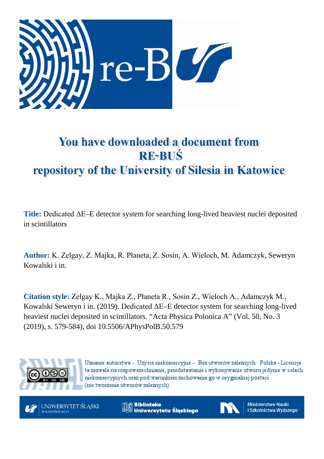

# You have downloaded a document from **RE-BUŚ** repository of the University of Silesia in Katowice

**Title:** Dedicated ΔE–E detector system for searching long-lived heaviest nuclei deposited in scintillators

**Author:** K. Zelgay, Z. Majka, R. Płaneta, Z. Sosin, A. Wieloch, M. Adamczyk, Seweryn Kowalski i in.

**Citation style:** Zelgay K., Majka Z., Płaneta R., Sosin Z., Wieloch A., Adamczyk M., Kowalski Seweryn i in. (2019). Dedicated ΔE–E detector system for searching long-lived heaviest nuclei deposited in scintillators. "Acta Physica Polonica A" (Vol. 50, No. 3 (2019), s. 579-584), doi 10.5506/APhysPolB.50.579



Uznanie autorstwa - Użycie niekomercyjne - Bez utworów zależnych Polska - Licencja ta zezwala na rozpowszechnianie, przedstawianie i wykonywanie utworu jedynie w celach niekomercyjnych oraz pod warunkiem zachowania go w oryginalnej postaci (nie tworzenia utworów zależnych).



**Biblioteka** Uniwersytetu Śląskiego



**Ministerstwo Nauki** i Szkolnictwa Wyższego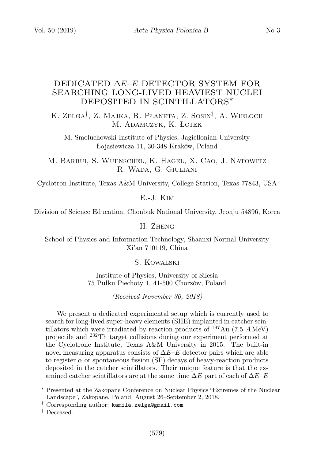## DEDICATED ∆E–E DETECTOR SYSTEM FOR SEARCHING LONG-LIVED HEAVIEST NUCLEI DEPOSITED IN SCINTILLATORS∗

K. Zelga<sup>†</sup>, Z. Majka, R. Płaneta, Z. Sosin<sup>‡</sup>, A. Wieloch M. Adamczyk, K. Łojek

M. Smoluchowski Institute of Physics, Jagiellonian University Łojasiewicza 11, 30-348 Kraków, Poland

M. Barbui, S. Wuenschel, K. Hagel, X. Cao, J. Natowitz R. Wada, G. Giuliani

Cyclotron Institute, Texas A&M University, College Station, Texas 77843, USA

E.-J. Kim

Division of Science Education, Chonbuk National University, Jeonju 54896, Korea

H. Zheng

School of Physics and Information Technology, Shaanxi Normal University Xi'an 710119, China

S. Kowalski

Institute of Physics, University of Silesia 75 Pułku Piechoty 1, 41-500 Chorzów, Poland

(Received November 30, 2018)

We present a dedicated experimental setup which is currently used to search for long-lived super-heavy elements (SHE) implanted in catcher scintillators which were irradiated by reaction products of  $^{197}Au$  (7.5 AMeV) projectile and <sup>232</sup>Th target collisions during our experiment performed at the Cyclotrone Institute, Texas A&M University in 2015. The built-in novel measuring apparatus consists of  $\Delta E-E$  detector pairs which are able to register  $\alpha$  or spontaneous fission (SF) decays of heavy-reaction products deposited in the catcher scintillators. Their unique feature is that the examined catcher scintillators are at the same time  $\Delta E$  part of each of  $\Delta E$ –E

<sup>∗</sup> Presented at the Zakopane Conference on Nuclear Physics "Extremes of the Nuclear Landscape", Zakopane, Poland, August 26–September 2, 2018.

<sup>†</sup> Corresponding author: kamila.zelga@gmail.com

<sup>‡</sup> Deceased.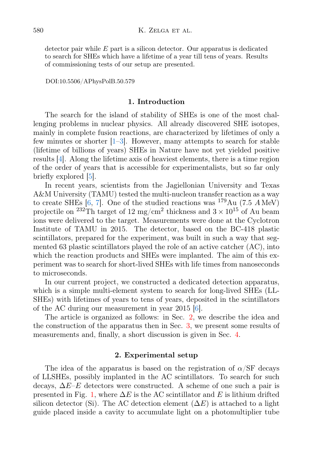detector pair while  $E$  part is a silicon detector. Our apparatus is dedicated to search for SHEs which have a lifetime of a year till tens of years. Results of commissioning tests of our setup are presented.

DOI:10.5506/APhysPolB.50.579

#### 1. Introduction

The search for the island of stability of SHEs is one of the most challenging problems in nuclear physics. All already discovered SHE isotopes, mainly in complete fusion reactions, are characterized by lifetimes of only a few minutes or shorter  $[1-3]$  $[1-3]$ . However, many attempts to search for stable (lifetime of billions of years) SHEs in Nature have not yet yielded positive results [\[4\]](#page-6-2). Along the lifetime axis of heaviest elements, there is a time region of the order of years that is accessible for experimentalists, but so far only briefly explored [\[5\]](#page-6-3).

In recent years, scientists from the Jagiellonian University and Texas A&M University (TAMU) tested the multi-nucleon transfer reaction as a way to create SHEs  $[6, 7]$  $[6, 7]$  $[6, 7]$ . One of the studied reactions was  $^{179}Au$  (7.5 AMeV) projectile on <sup>232</sup>Th target of 12 mg/cm<sup>2</sup> thickness and  $3 \times 10^{15}$  of Au beam ions were delivered to the target. Measurements were done at the Cyclotron Institute of TAMU in 2015. The detector, based on the BC-418 plastic scintillators, prepared for the experiment, was built in such a way that segmented 63 plastic scintillators played the role of an active catcher (AC), into which the reaction products and SHEs were implanted. The aim of this experiment was to search for short-lived SHEs with life times from nanoseconds to microseconds.

In our current project, we constructed a dedicated detection apparatus, which is a simple multi-element system to search for long-lived SHEs (LL-SHEs) with lifetimes of years to tens of years, deposited in the scintillators of the AC during our measurement in year 2015 [\[6\]](#page-6-4).

The article is organized as follows: in Sec. [2,](#page-2-0) we describe the idea and the construction of the apparatus then in Sec. [3,](#page-4-0) we present some results of measurements and, finally, a short discussion is given in Sec. [4.](#page-6-6)

#### 2. Experimental setup

<span id="page-2-0"></span>The idea of the apparatus is based on the registration of  $\alpha$ /SF decays of LLSHEs, possibly implanted in the AC scintillators. To search for such decays,  $\Delta E-E$  detectors were constructed. A scheme of one such a pair is presented in Fig. [1,](#page-3-0) where  $\Delta E$  is the AC scintillator and E is lithium drifted silicon detector (Si). The AC detection element  $(\Delta E)$  is attached to a light guide placed inside a cavity to accumulate light on a photomultiplier tube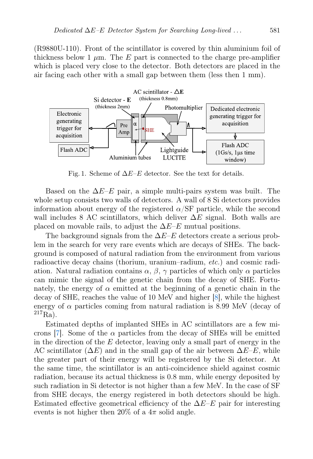(R9880U-110). Front of the scintillator is covered by thin aluminium foil of thickness below 1  $\mu$ m. The E part is connected to the charge pre-amplifier which is placed very close to the detector. Both detectors are placed in the air facing each other with a small gap between them (less then 1 mm).



<span id="page-3-0"></span>Fig. 1. Scheme of  $\Delta E$ –E detector. See the text for details.

Based on the  $\Delta E$ –E pair, a simple multi-pairs system was built. The whole setup consists two walls of detectors. A wall of 8 Si detectors provides information about energy of the registered  $\alpha$ /SF particle, while the second wall includes 8 AC scintillators, which deliver  $\Delta E$  signal. Both walls are placed on movable rails, to adjust the  $\Delta E-E$  mutual positions.

The background signals from the  $\Delta E-E$  detectors create a serious problem in the search for very rare events which are decays of SHEs. The background is composed of natural radiation from the environment from various radioactive decay chains (thorium, uranium–radium, etc.) and cosmic radiation. Natural radiation contains  $\alpha$ ,  $\beta$ ,  $\gamma$  particles of which only  $\alpha$  particles can mimic the signal of the genetic chain from the decay of SHE. Fortunately, the energy of  $\alpha$  emitted at the beginning of a genetic chain in the decay of SHE, reaches the value of 10 MeV and higher [\[8\]](#page-6-7), while the highest energy of  $\alpha$  particles coming from natural radiation is 8.99 MeV (decay of  $^{217}Ra$ ).

Estimated depths of implanted SHEs in AC scintillators are a few mi-crons [\[7\]](#page-6-5). Some of the  $\alpha$  particles from the decay of SHEs will be emitted in the direction of the  $E$  detector, leaving only a small part of energy in the AC scintillator ( $\Delta E$ ) and in the small gap of the air between  $\Delta E-E$ , while the greater part of their energy will be registered by the Si detector. At the same time, the scintillator is an anti-coincidence shield against cosmic radiation, because its actual thickness is 0.8 mm, while energy deposited by such radiation in Si detector is not higher than a few MeV. In the case of SF from SHE decays, the energy registered in both detectors should be high. Estimated effective geometrical efficiency of the  $\Delta E-E$  pair for interesting events is not higher then 20% of a  $4\pi$  solid angle.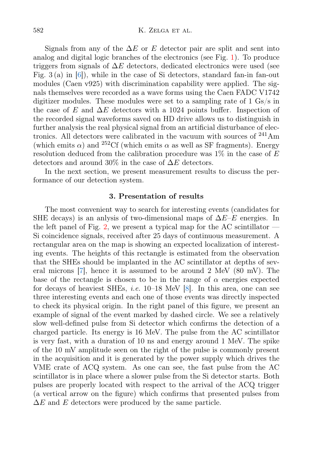Signals from any of the  $\Delta E$  or E detector pair are split and sent into analog and digital logic branches of the electronics (see Fig. [1\)](#page-3-0). To produce triggers from signals of  $\Delta E$  detectors, dedicated electronics were used (see Fig. 3 (a) in  $[6]$ , while in the case of Si detectors, standard fan-in fan-out modules (Caen v925) with discrimination capability were applied. The signals themselves were recorded as a wave forms using the Caen FADC V1742 digitizer modules. These modules were set to a sampling rate of 1 Gs/s in the case of E and  $\Delta E$  detectors with a 1024 points buffer. Inspection of the recorded signal waveforms saved on HD drive allows us to distinguish in further analysis the real physical signal from an artificial disturbance of electronics. All detectors were calibrated in the vacuum with sources of <sup>241</sup>Am (which emits  $\alpha$ ) and <sup>252</sup>Cf (which emits  $\alpha$  as well as SF fragments). Energy resolution deduced from the calibration procedure was  $1\%$  in the case of E detectors and around 30% in the case of  $\Delta E$  detectors.

In the next section, we present measurement results to discuss the performance of our detection system.

### 3. Presentation of results

<span id="page-4-0"></span>The most convenient way to search for interesting events (candidates for SHE decays) is an anlysis of two-dimensional maps of  $\Delta E-E$  energies. In the left panel of Fig. [2,](#page-5-0) we present a typical map for the AC scintillator  $-$ Si coincidence signals, received after 25 days of continuous measurement. A rectangular area on the map is showing an expected localization of interesting events. The heights of this rectangle is estimated from the observation that the SHEs should be implanted in the AC scintillator at depths of several microns [\[7\]](#page-6-5), hence it is assumed to be around 2 MeV (80 mV). The base of the rectangle is chosen to be in the range of  $\alpha$  energies expected for decays of heaviest SHEs, i.e. 10–18 MeV [\[8\]](#page-6-7). In this area, one can see three interesting events and each one of those events was directly inspected to check its physical origin. In the right panel of this figure, we present an example of signal of the event marked by dashed circle. We see a relatively slow well-defined pulse from Si detector which confirms the detection of a charged particle. Its energy is 16 MeV. The pulse from the AC scintillator is very fast, with a duration of 10 ns and energy around 1 MeV. The spike of the 10 mV amplitude seen on the right of the pulse is commonly present in the acquisition and it is generated by the power supply which drives the VME crate of ACQ system. As one can see, the fast pulse from the AC scintillator is in place where a slower pulse from the Si detector starts. Both pulses are properly located with respect to the arrival of the ACQ trigger (a vertical arrow on the figure) which confirms that presented pulses from  $\Delta E$  and E detectors were produced by the same particle.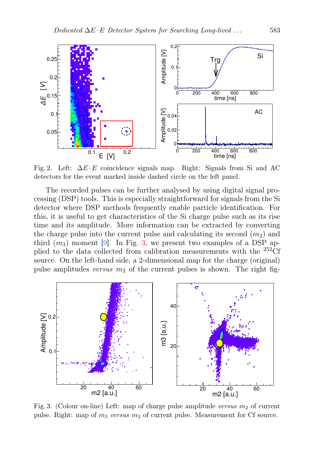

<span id="page-5-0"></span>Fig. 2. Left:  $\Delta E-E$  coincidence signals map. Right: Signals from Si and AC detectors for the event marked inside dashed circle on the left panel.

The recorded pulses can be further analysed by using digital signal processing (DSP) tools. This is especially straightforward for signals from the Si detector where DSP methods frequently enable particle identification. For this, it is useful to get characteristics of the Si charge pulse such as its rise time and its amplitude. More information can be extracted by converting the charge pulse into the current pulse and calculating its second  $(m_2)$  and third  $(m_3)$  moment [\[9\]](#page-6-8). In Fig. [3,](#page-5-1) we present two examples of a DSP applied to the data collected from calibration measurements with the <sup>252</sup>Cf source. On the left-hand side, a 2-dimensional map for the charge (original) pulse amplitudes versus  $m_2$  of the current pulses is shown. The right fig-



<span id="page-5-1"></span>Fig. 3. (Colour on-line) Left: map of charge pulse amplitude versus  $m_2$  of current pulse. Right: map of  $m_3$  versus  $m_2$  of current pulse. Measurement for Cf source.